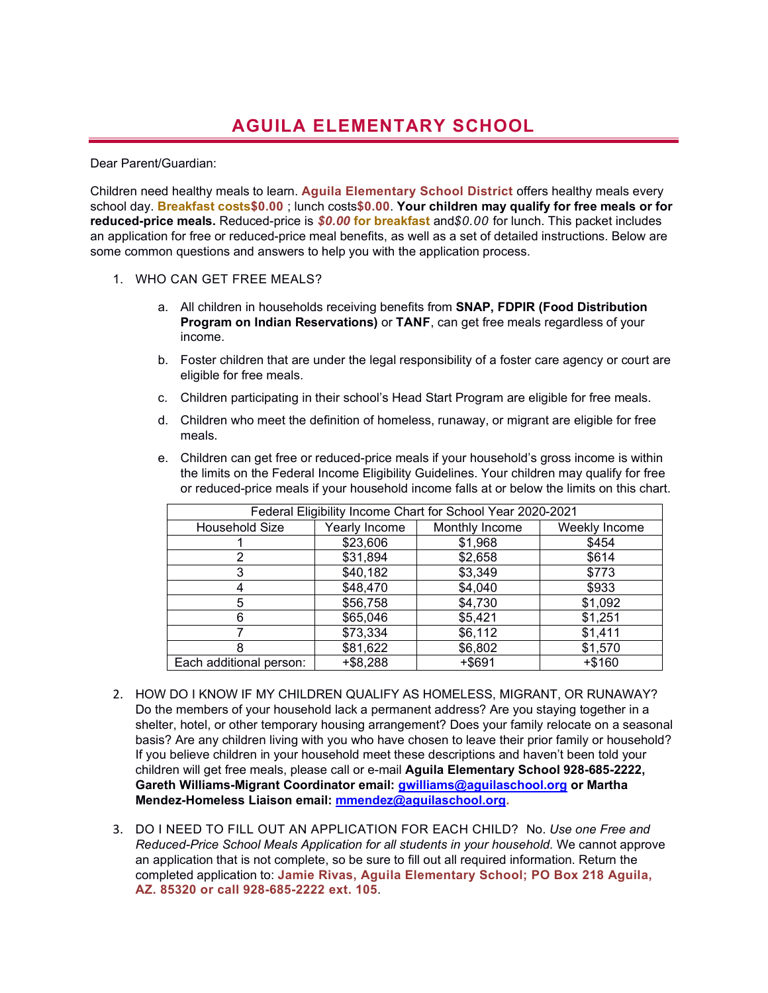## **AGUILA ELEMENTARY SCHOOL**

## Dear Parent/Guardian:

Children need healthy meals to learn. **Aguila Elementary School District** offers healthy meals every school day. **Breakfast costs\$0.00** ; lunch costs**\$0.00**. **Your children may qualify for free meals or for reduced-price meals.** Reduced-price is *\$0.00* **for breakfast** and*\$0.00* for lunch. This packet includes an application for free or reduced-price meal benefits, as well as a set of detailed instructions. Below are some common questions and answers to help you with the application process.

- 1. WHO CAN GET FREE MEALS?
	- a. All children in households receiving benefits from **SNAP, FDPIR (Food Distribution Program on Indian Reservations)** or **TANF**, can get free meals regardless of your income.
	- b. Foster children that are under the legal responsibility of a foster care agency or court are eligible for free meals.
	- c. Children participating in their school's Head Start Program are eligible for free meals.
	- d. Children who meet the definition of homeless, runaway, or migrant are eligible for free meals.
	- e. Children can get free or reduced-price meals if your household's gross income is within the limits on the Federal Income Eligibility Guidelines. Your children may qualify for free or reduced-price meals if your household income falls at or below the limits on this chart.

| Federal Eligibility Income Chart for School Year 2020-2021 |               |                |               |
|------------------------------------------------------------|---------------|----------------|---------------|
| Household Size                                             | Yearly Income | Monthly Income | Weekly Income |
|                                                            | \$23,606      | \$1,968        | \$454         |
|                                                            | \$31,894      | \$2,658        | \$614         |
| 3                                                          | \$40,182      | \$3,349        | \$773         |
| 4                                                          | \$48,470      | \$4,040        | \$933         |
| 5                                                          | \$56,758      | \$4,730        | \$1,092       |
| 6                                                          | \$65,046      | \$5,421        | \$1,251       |
|                                                            | \$73,334      | \$6,112        | \$1,411       |
| 8                                                          | \$81,622      | \$6,802        | \$1,570       |
| Each additional person:                                    | $+ $8,288$    | +\$691         | +\$160        |

- 2. HOW DO I KNOW IF MY CHILDREN QUALIFY AS HOMELESS, MIGRANT, OR RUNAWAY?  **Mendez-Homeless Liaison email: mmendez@aguilaschool.org.** Do the members of your household lack a permanent address? Are you staying together in a shelter, hotel, or other temporary housing arrangement? Does your family relocate on a seasonal basis? Are any children living with you who have chosen to leave their prior family or household? If you believe children in your household meet these descriptions and haven't been told your children will get free meals, please call or e-mail **Aguila Elementary School 928-685-2222, Gareth Williams-Migrant Coordinator email: gwilliams@aguilaschool.org or Martha**
- 3. DO I NEED TO FILL OUT AN APPLICATION FOR EACH CHILD? No. *Use one Free and Reduced-Price School Meals Application for all students in your household.* We cannot approve an application that is not complete, so be sure to fill out all required information. Return the completed application to: **Jamie Rivas, Aguila Elementary School; PO Box 218 Aguila, AZ. 85320 or call 928-685-2222 ext. 105**.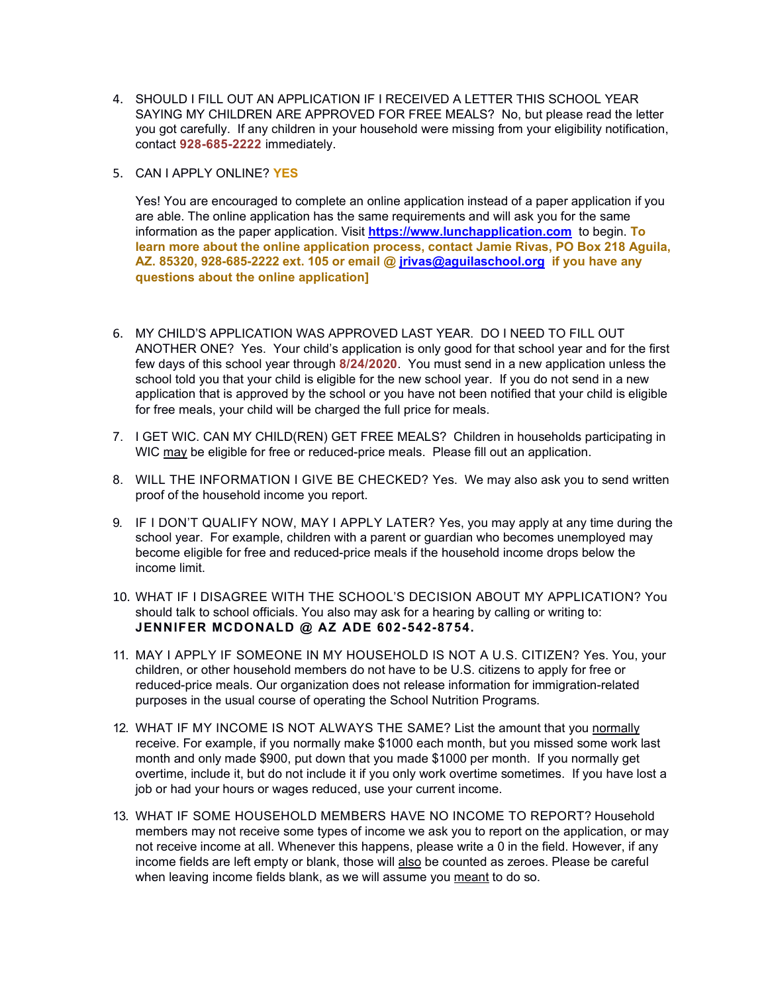- contact **928-685-2222** immediately. 4. SHOULD I FILL OUT AN APPLICATION IF I RECEIVED A LETTER THIS SCHOOL YEAR SAYING MY CHILDREN ARE APPROVED FOR FREE MEALS? No, but please read the letter you got carefully. If any children in your household were missing from your eligibility notification,
- 5. CAN I APPLY ONLINE? **YES**

 **AZ. 85320, 928-685-2222 ext. 105 or email @ [jrivas@aguilaschool.org](mailto:jrivas@aguilaschool.org) if you have any**  Yes! You are encouraged to complete an online application instead of a paper application if you are able. The online application has the same requirements and will ask you for the same information as the paper application. Visit **[https://www.lunchapplication.com](https://www.lunchapplication.com/)** to begin. **To learn more about the online application process, contact Jamie Rivas, PO Box 218 Aguila, questions about the online application]** 

- 6. MY CHILD'S APPLICATION WAS APPROVED LAST YEAR. DO I NEED TO FILL OUT ANOTHER ONE? Yes. Your child's application is only good for that school year and for the first few days of this school year through **8/24/2020**. You must send in a new application unless the school told you that your child is eligible for the new school year. If you do not send in a new application that is approved by the school or you have not been notified that your child is eligible for free meals, your child will be charged the full price for meals.
- 7. I GET WIC. CAN MY CHILD(REN) GET FREE MEALS? Children in households participating in WIC may be eligible for free or reduced-price meals. Please fill out an application.
- 8. WILL THE INFORMATION I GIVE BE CHECKED? Yes. We may also ask you to send written proof of the household income you report.
- 9. IF I DON'T QUALIFY NOW, MAY I APPLY LATER? Yes, you may apply at any time during the school year. For example, children with a parent or guardian who becomes unemployed may become eligible for free and reduced-price meals if the household income drops below the income limit.
- 10. WHAT IF I DISAGREE WITH THE SCHOOL'S DECISION ABOUT MY APPLICATION? You should talk to school officials. You also may ask for a hearing by calling or writing to: **JENNIFER MCDONALD @ AZ ADE 602-542-8754.**
- purposes in the usual course of operating the School Nutrition Programs. 11. MAY I APPLY IF SOMEONE IN MY HOUSEHOLD IS NOT A U.S. CITIZEN? Yes. You, your children, or other household members do not have to be U.S. citizens to apply for free or reduced-price meals. Our organization does not release information for immigration-related
- 12. WHAT IF MY INCOME IS NOT ALWAYS THE SAME? List the amount that you normally receive. For example, if you normally make \$1000 each month, but you missed some work last month and only made \$900, put down that you made \$1000 per month. If you normally get overtime, include it, but do not include it if you only work overtime sometimes. If you have lost a job or had your hours or wages reduced, use your current income.
- when leaving income fields blank, as we will assume you <u>meant</u> to do so. 13. WHAT IF SOME HOUSEHOLD MEMBERS HAVE NO INCOME TO REPORT? Household members may not receive some types of income we ask you to report on the application, or may not receive income at all. Whenever this happens, please write a 0 in the field. However, if any income fields are left empty or blank, those will also be counted as zeroes. Please be careful